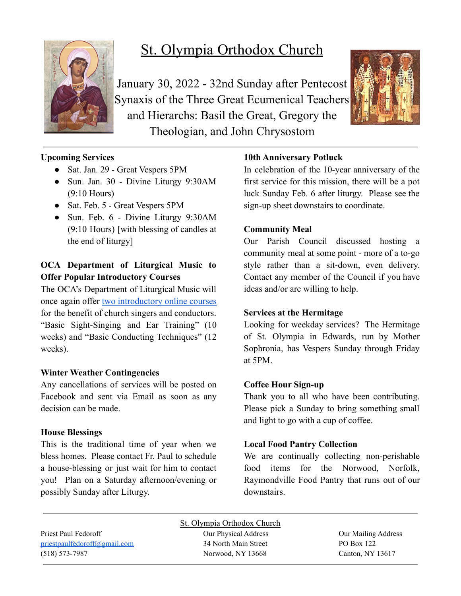

# St. Olympia Orthodox Church

January 30, 2022 - 32nd Sunday after Pentecost Synaxis of the Three Great Ecumenical Teachers and Hierarchs: Basil the Great, Gregory the Theologian, and John Chrysostom



# **Upcoming Services**

- Sat. Jan. 29 Great Vespers 5PM
- Sun. Jan. 30 Divine Liturgy 9:30AM (9:10 Hours)
- Sat. Feb. 5 Great Vespers 5PM
- Sun. Feb. 6 Divine Liturgy 9:30AM (9:10 Hours) [with blessing of candles at the end of liturgy]

# **OCA Department of Liturgical Music to Offer Popular Introductory Courses**

The OCA's Department of Liturgical Music will once again offer two [introductory](https://www.oca.org/news/headline-news/oca-department-of-liturgical-music-to-offer-popular-introductory-courses) online courses for the benefit of church singers and conductors. "Basic Sight-Singing and Ear Training" (10 weeks) and "Basic Conducting Techniques" (12 weeks).

## **Winter Weather Contingencies**

Any cancellations of services will be posted on Facebook and sent via Email as soon as any decision can be made.

#### **House Blessings**

This is the traditional time of year when we bless homes. Please contact Fr. Paul to schedule a house-blessing or just wait for him to contact you! Plan on a Saturday afternoon/evening or possibly Sunday after Liturgy.

# **10th Anniversary Potluck**

In celebration of the 10-year anniversary of the first service for this mission, there will be a pot luck Sunday Feb. 6 after liturgy. Please see the sign-up sheet downstairs to coordinate.

## **Community Meal**

Our Parish Council discussed hosting a community meal at some point - more of a to-go style rather than a sit-down, even delivery. Contact any member of the Council if you have ideas and/or are willing to help.

## **Services at the Hermitage**

Looking for weekday services? The Hermitage of St. Olympia in Edwards, run by Mother Sophronia, has Vespers Sunday through Friday at 5PM.

## **Coffee Hour Sign-up**

Thank you to all who have been contributing. Please pick a Sunday to bring something small and light to go with a cup of coffee.

## **Local Food Pantry Collection**

We are continually collecting non-perishable food items for the Norwood, Norfolk, Raymondville Food Pantry that runs out of our downstairs.

Priest Paul Fedoroff Our Physical Address Our Mailing Address [priestpaulfedoroff@gmail.com](mailto:priestpaulfedoroff@gmail.com) 34 North Main Street PO Box 122 (518) 573-7987 Norwood, NY 13668 Canton, NY 13617

St. Olympia Orthodox Church